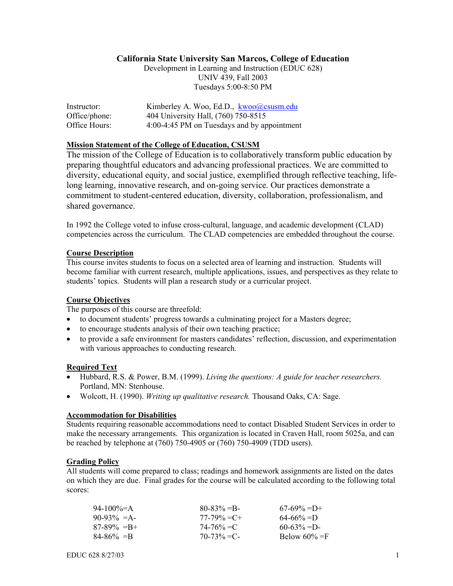### **California State University San Marcos, College of Education**

Development in Learning and Instruction (EDUC 628) UNIV 439, Fall 2003 Tuesdays 5:00-8:50 PM

| Instructor:   | Kimberley A. Woo, Ed.D., kwoo@csusm.edu     |
|---------------|---------------------------------------------|
| Office/phone: | 404 University Hall, (760) 750-8515         |
| Office Hours: | 4:00-4:45 PM on Tuesdays and by appointment |

#### **Mission Statement of the College of Education, CSUSM**

The mission of the College of Education is to collaboratively transform public education by preparing thoughtful educators and advancing professional practices. We are committed to diversity, educational equity, and social justice, exemplified through reflective teaching, lifelong learning, innovative research, and on-going service. Our practices demonstrate a commitment to student-centered education, diversity, collaboration, professionalism, and shared governance.

In 1992 the College voted to infuse cross-cultural, language, and academic development (CLAD) competencies across the curriculum. The CLAD competencies are embedded throughout the course.

#### **Course Description**

This course invites students to focus on a selected area of learning and instruction. Students will become familiar with current research, multiple applications, issues, and perspectives as they relate to students' topics. Students will plan a research study or a curricular project.

#### **Course Objectives**

The purposes of this course are threefold:

- to document students' progress towards a culminating project for a Masters degree;
- to encourage students analysis of their own teaching practice;
- to provide a safe environment for masters candidates' reflection, discussion, and experimentation with various approaches to conducting research.

#### **Required Text**

- Hubbard, R.S. & Power, B.M. (1999). *Living the questions: A guide for teacher researchers.* Portland, MN: Stenhouse.
- Wolcott, H. (1990). *Writing up qualitative research*. Thousand Oaks, CA: Sage.

#### **Accommodation for Disabilities**

Students requiring reasonable accommodations need to contact Disabled Student Services in order to make the necessary arrangements. This organization is located in Craven Hall, room 5025a, and can be reached by telephone at (760) 750-4905 or (760) 750-4909 (TDD users).

#### **Grading Policy**

All students will come prepared to class; readings and homework assignments are listed on the dates on which they are due. Final grades for the course will be calculated according to the following total scores:

| 94-100\%=A      | $80-83\% = B$   | $67-69\% = D+$   |
|-----------------|-----------------|------------------|
| $90-93\% = A$   | $77-79\% = C +$ | $64 - 66\% = D$  |
| $87-89\% = B +$ | $74 - 76\% = C$ | $60-63\% = D$    |
| $84 - 86\% = B$ | $70-73\% = C$   | Below $60\% = F$ |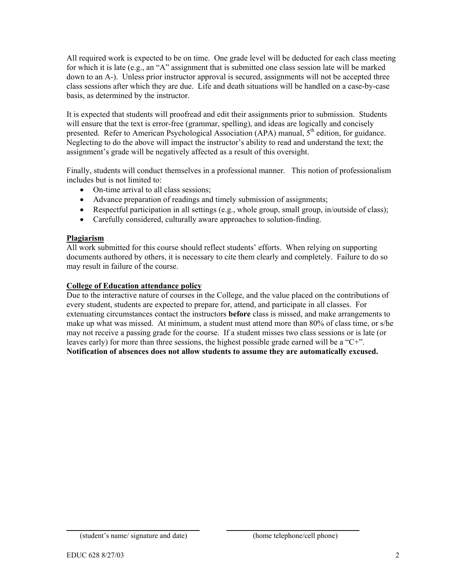All required work is expected to be on time. One grade level will be deducted for each class meeting for which it is late (e.g., an "A" assignment that is submitted one class session late will be marked down to an A-). Unless prior instructor approval is secured, assignments will not be accepted three class sessions after which they are due. Life and death situations will be handled on a case-by-case basis, as determined by the instructor.

It is expected that students will proofread and edit their assignments prior to submission. Students will ensure that the text is error-free (grammar, spelling), and ideas are logically and concisely presented. Refer to American Psychological Association (APA) manual,  $5<sup>th</sup>$  edition, for guidance. Neglecting to do the above will impact the instructor's ability to read and understand the text; the assignment's grade will be negatively affected as a result of this oversight.

Finally, students will conduct themselves in a professional manner. This notion of professionalism includes but is not limited to:

- On-time arrival to all class sessions;
- Advance preparation of readings and timely submission of assignments;
- Respectful participation in all settings (e.g., whole group, small group, in/outside of class);
- Carefully considered, culturally aware approaches to solution-finding.

#### **Plagiarism**

All work submitted for this course should reflect students' efforts. When relying on supporting documents authored by others, it is necessary to cite them clearly and completely. Failure to do so may result in failure of the course.

#### **College of Education attendance policy**

Due to the interactive nature of courses in the College, and the value placed on the contributions of every student, students are expected to prepare for, attend, and participate in all classes. For extenuating circumstances contact the instructors **before** class is missed, and make arrangements to make up what was missed. At minimum, a student must attend more than 80% of class time, or s/he may not receive a passing grade for the course. If a student misses two class sessions or is late (or leaves early) for more than three sessions, the highest possible grade earned will be a "C+". **Notification of absences does not allow students to assume they are automatically excused.** 

\_\_\_\_\_\_\_\_\_\_\_\_\_\_\_\_\_\_\_\_\_\_\_\_\_\_\_\_\_\_ \_\_\_\_\_\_\_\_\_\_\_\_\_\_\_\_\_\_\_\_\_\_\_\_\_\_\_\_\_\_ (student's name/ signature and date) (home telephone/cell phone)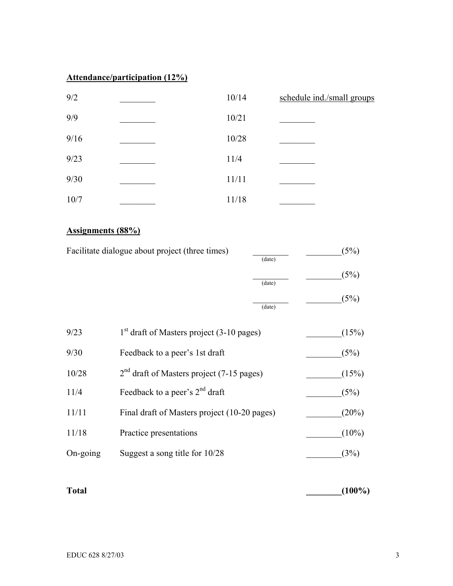# **Attendance/participation (12%)**

| 9/2  | 10/14 | schedule ind./small groups |
|------|-------|----------------------------|
| 9/9  | 10/21 |                            |
| 9/16 | 10/28 |                            |
| 9/23 | 11/4  |                            |
| 9/30 | 11/11 |                            |
| 10/7 | 11/18 |                            |

## **Assignments (88%)**

| Facilitate dialogue about project (three times)<br>(date) |                                              | (5%)   |          |
|-----------------------------------------------------------|----------------------------------------------|--------|----------|
|                                                           |                                              | (date) | (5%)     |
|                                                           |                                              | (date) | (5%)     |
| 9/23                                                      | $1st$ draft of Masters project (3-10 pages)  |        | (15%)    |
| 9/30                                                      | Feedback to a peer's 1st draft               |        | (5%)     |
| 10/28                                                     | $2nd$ draft of Masters project (7-15 pages)  |        | (15%)    |
| 11/4                                                      | Feedback to a peer's $2nd$ draft             |        | (5%)     |
| 11/11                                                     | Final draft of Masters project (10-20 pages) |        | (20%)    |
| 11/18                                                     | Practice presentations                       |        | $(10\%)$ |
| $On-going$                                                | Suggest a song title for 10/28               |        | (3%)     |

**Total**  $(100\%)$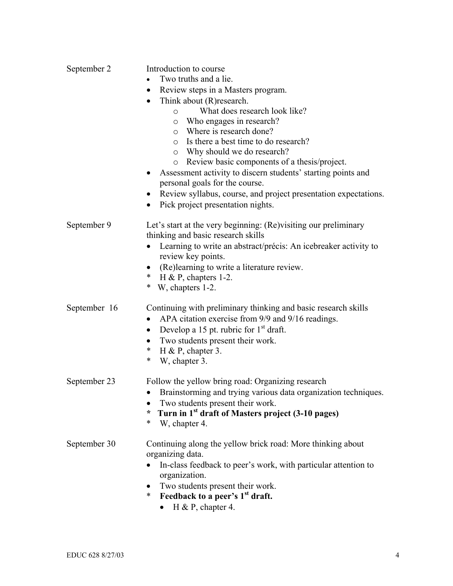| September 2  | Introduction to course<br>Two truths and a lie.<br>Review steps in a Masters program.<br>$\bullet$<br>Think about (R) research.<br>$\bullet$<br>What does research look like?<br>O<br>Who engages in research?<br>O<br>Where is research done?<br>$\circ$<br>o Is there a best time to do research?<br>o Why should we do research?<br>Review basic components of a thesis/project.<br>O |
|--------------|------------------------------------------------------------------------------------------------------------------------------------------------------------------------------------------------------------------------------------------------------------------------------------------------------------------------------------------------------------------------------------------|
|              | Assessment activity to discern students' starting points and<br>personal goals for the course.<br>Review syllabus, course, and project presentation expectations.<br>Pick project presentation nights.<br>$\bullet$                                                                                                                                                                      |
| September 9  | Let's start at the very beginning: (Re) visiting our preliminary<br>thinking and basic research skills<br>Learning to write an abstract/précis: An icebreaker activity to<br>review key points.<br>(Re)learning to write a literature review.<br>* H & P, chapters 1-2.<br>∗<br>W, chapters 1-2.                                                                                         |
| September 16 | Continuing with preliminary thinking and basic research skills<br>APA citation exercise from 9/9 and 9/16 readings.<br>Develop a 15 pt. rubric for $1st$ draft.<br>$\bullet$<br>Two students present their work.<br>$\ast$<br>$H$ & P, chapter 3.<br>*<br>W, chapter 3.                                                                                                                  |
| September 23 | Follow the yellow bring road: Organizing research<br>Brainstorming and trying various data organization techniques.<br>$\bullet$<br>Two students present their work.<br>Turn in 1 <sup>st</sup> draft of Masters project (3-10 pages)<br>∗<br>*<br>W, chapter 4.                                                                                                                         |
| September 30 | Continuing along the yellow brick road: More thinking about<br>organizing data.<br>In-class feedback to peer's work, with particular attention to<br>organization.<br>Two students present their work.<br>Feedback to a peer's 1 <sup>st</sup> draft.<br>$\ast$<br>H & P, chapter 4.                                                                                                     |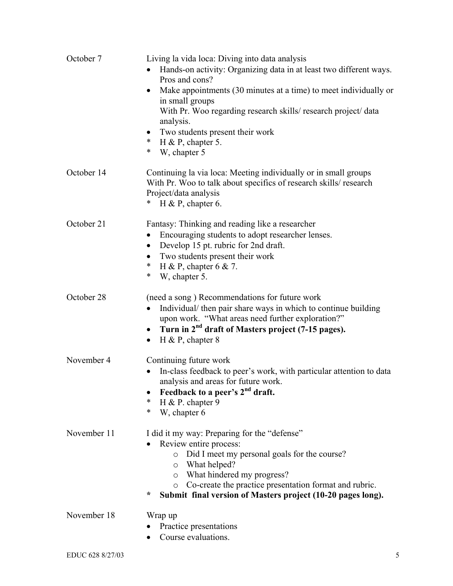| October 7   | Living la vida loca: Diving into data analysis<br>Hands-on activity: Organizing data in at least two different ways.<br>Pros and cons?<br>Make appointments (30 minutes at a time) to meet individually or<br>in small groups<br>With Pr. Woo regarding research skills/research project/data<br>analysis.<br>Two students present their work<br>*<br>H & P, chapter 5.<br>*<br>W, chapter 5 |
|-------------|----------------------------------------------------------------------------------------------------------------------------------------------------------------------------------------------------------------------------------------------------------------------------------------------------------------------------------------------------------------------------------------------|
| October 14  | Continuing la via loca: Meeting individually or in small groups<br>With Pr. Woo to talk about specifics of research skills/research<br>Project/data analysis<br>H & P, chapter 6.<br>∗                                                                                                                                                                                                       |
| October 21  | Fantasy: Thinking and reading like a researcher<br>Encouraging students to adopt researcher lenses.<br>$\bullet$<br>Develop 15 pt. rubric for 2nd draft.<br>Two students present their work<br>H & P, chapter $6 & 7$ .<br>*<br>*<br>W, chapter 5.                                                                                                                                           |
| October 28  | (need a song) Recommendations for future work<br>Individual/ then pair share ways in which to continue building<br>upon work. "What areas need further exploration?"<br>Turn in 2 <sup>nd</sup> draft of Masters project (7-15 pages).<br>$\bullet$<br>H & P, chapter $8$<br>$\bullet$                                                                                                       |
| November 4  | Continuing future work<br>In-class feedback to peer's work, with particular attention to data<br>analysis and areas for future work.<br>Feedback to a peer's 2 <sup>nd</sup> draft.<br>∗<br>H & P. chapter $9$<br>*<br>W, chapter 6                                                                                                                                                          |
| November 11 | I did it my way: Preparing for the "defense"<br>Review entire process:<br>Did I meet my personal goals for the course?<br>$\circ$<br>What helped?<br>O<br>What hindered my progress?<br>$\circ$<br>Co-create the practice presentation format and rubric.<br>O<br>÷<br>Submit final version of Masters project (10-20 pages long).                                                           |
| November 18 | Wrap up<br>Practice presentations<br>Course evaluations.                                                                                                                                                                                                                                                                                                                                     |